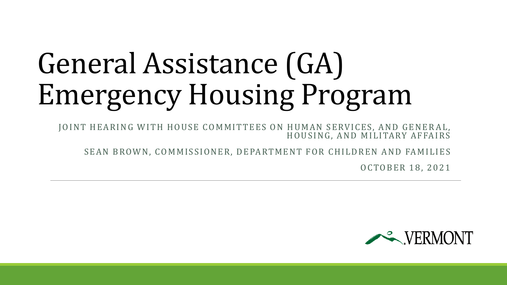# General Assistance (GA) Emergency Housing Program

JOINT HEARING WITH HOUSE COMMITTEES ON HUMAN SERVICES, AND GENERAL, HOUSING, AND MILITARY AFFAIRS

SEAN BROWN, COMMISSIONER, DEPARTMENT FOR CHILDREN AND FAMILIES

OCTOBER 18, 2021

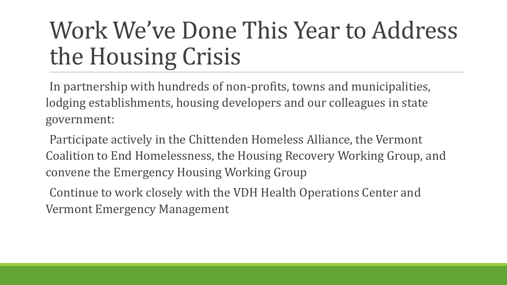### Work We've Done This Year to Address the Housing Crisis

In partnership with hundreds of non-profits, towns and municipalities, lodging establishments, housing developers and our colleagues in state government:

Participate actively in the Chittenden Homeless Alliance, the Vermont Coalition to End Homelessness, the Housing Recovery Working Group, and convene the Emergency Housing Working Group

Continue to work closely with the VDH Health Operations Center and Vermont Emergency Management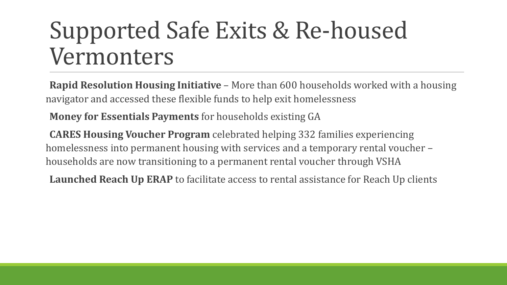### Supported Safe Exits & Re-housed Vermonters

**Rapid Resolution Housing Initiative** – More than 600 households worked with a housing navigator and accessed these flexible funds to help exit homelessness

**Money for Essentials Payments** for households existing GA

**CARES Housing Voucher Program** celebrated helping 332 families experiencing homelessness into permanent housing with services and a temporary rental voucher – households are now transitioning to a permanent rental voucher through VSHA

**Launched Reach Up ERAP** to facilitate access to rental assistance for Reach Up clients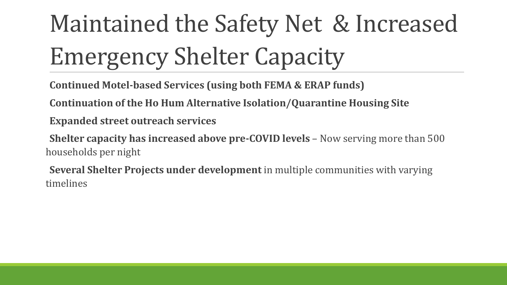# Maintained the Safety Net & Increased Emergency Shelter Capacity

**Continued Motel-based Services (using both FEMA & ERAP funds)**

**Continuation of the Ho Hum Alternative Isolation/Quarantine Housing Site**

**Expanded street outreach services**

**Shelter capacity has increased above pre-COVID levels** – Now serving more than 500 households per night

**Several Shelter Projects under development** in multiple communities with varying timelines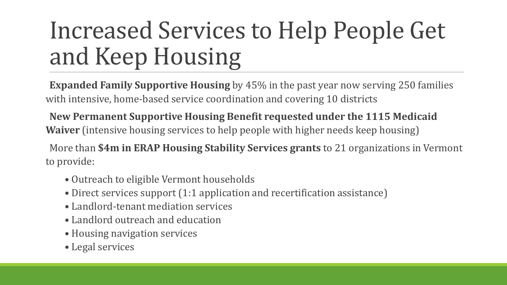### Increased Services to Help People Get and Keep Housing

**Expanded Family Supportive Housing** by 45% in the past year now serving 250 families with intensive, home-based service coordination and covering 10 districts

**New Permanent Supportive Housing Benefit requested under the 1115 Medicaid Waiver** (intensive housing services to help people with higher needs keep housing)

More than **\$4m in ERAP Housing Stability Services grants** to 21 organizations in Vermont to provide:

- Outreach to eligible Vermont households
- Direct services support (1:1 application and recertification assistance)
- Landlord-tenant mediation services
- Landlord outreach and education
- Housing navigation services
- Legal services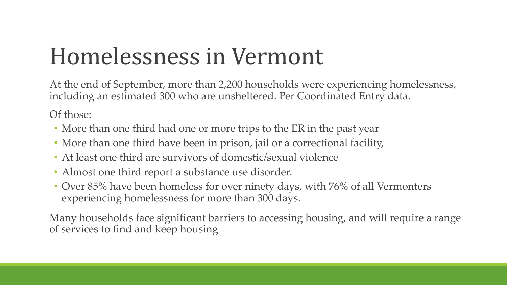### Homelessness in Vermont

At the end of September, more than 2,200 households were experiencing homelessness, including an estimated 300 who are unsheltered. Per Coordinated Entry data.

Of those:

- More than one third had one or more trips to the ER in the past year
- More than one third have been in prison, jail or a correctional facility,
- At least one third are survivors of domestic/sexual violence
- Almost one third report a substance use disorder.
- Over 85% have been homeless for over ninety days, with 76% of all Vermonters experiencing homelessness for more than 300 days.

Many households face significant barriers to accessing housing, and will require a range of services to find and keep housing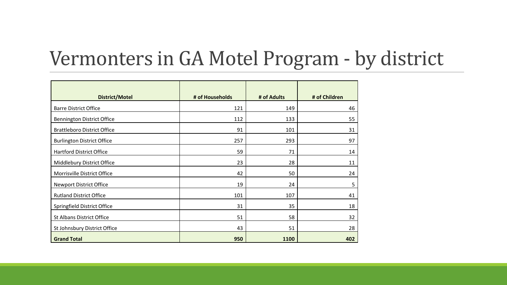### Vermonters in GA Motel Program - by district

| <b>District/Motel</b>              | # of Households | # of Adults | # of Children |
|------------------------------------|-----------------|-------------|---------------|
| <b>Barre District Office</b>       | 121             | 149         | 46            |
| <b>Bennington District Office</b>  | 112             | 133         | 55            |
| <b>Brattleboro District Office</b> | 91              | 101         | 31            |
| <b>Burlington District Office</b>  | 257             | 293         | 97            |
| <b>Hartford District Office</b>    | 59              | 71          | 14            |
| Middlebury District Office         | 23              | 28          | 11            |
| Morrisville District Office        | 42              | 50          | 24            |
| <b>Newport District Office</b>     | 19              | 24          | 5             |
| <b>Rutland District Office</b>     | 101             | 107         | 41            |
| Springfield District Office        | 31              | 35          | 18            |
| <b>St Albans District Office</b>   | 51              | 58          | 32            |
| St Johnsbury District Office       | 43              | 51          | 28            |
| <b>Grand Total</b>                 | 950             | 1100        | 402           |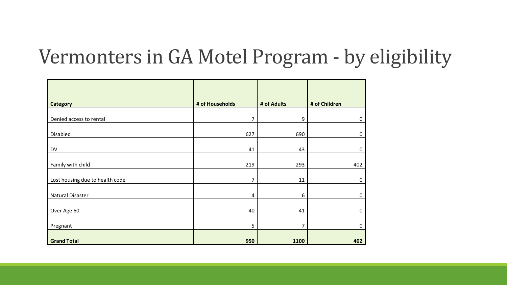### Vermonters in GA Motel Program - by eligibility

| <b>Category</b>                 | # of Households | # of Adults      | # of Children |
|---------------------------------|-----------------|------------------|---------------|
| Denied access to rental         | 7               | $\boldsymbol{9}$ | $\mathbf 0$   |
| Disabled                        | 627             | 690              | $\mathbf 0$   |
|                                 |                 |                  |               |
| DV                              | 41              | 43               | $\mathbf 0$   |
| Family with child               | 219             | 293              | 402           |
| Lost housing due to health code | 7               | 11               | $\mathbf 0$   |
| Natural Disaster                | 4               | 6                | 0             |
| Over Age 60                     | 40              | 41               | $\mathbf 0$   |
|                                 |                 |                  |               |
| Pregnant                        | 5               | 7                | 0             |
| <b>Grand Total</b>              | 950             | 1100             | 402           |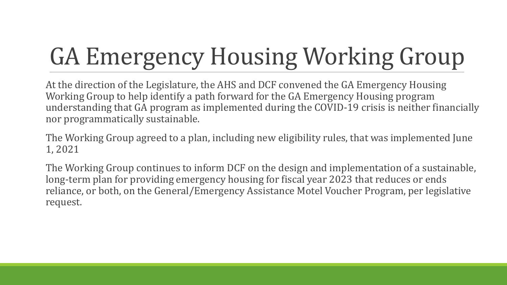# GA Emergency Housing Working Group

At the direction of the Legislature, the AHS and DCF convened the GA Emergency Housing Working Group to help identify a path forward for the GA Emergency Housing program understanding that GA program as implemented during the COVID-19 crisis is neither financially nor programmatically sustainable.

The Working Group agreed to a plan, including new eligibility rules, that was implemented June 1, 2021

The Working Group continues to inform DCF on the design and implementation of a sustainable, long-term plan for providing emergency housing for fiscal year 2023 that reduces or ends reliance, or both, on the General/Emergency Assistance Motel Voucher Program, per legislative request.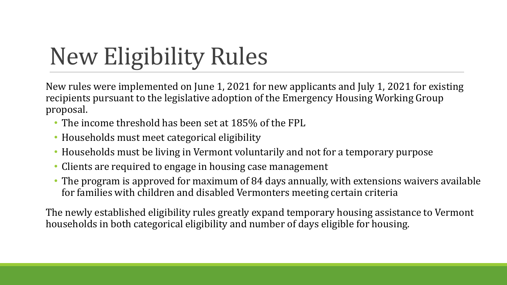## New Eligibility Rules

New rules were implemented on June 1, 2021 for new applicants and July 1, 2021 for existing recipients pursuant to the legislative adoption of the Emergency Housing Working Group proposal.

- The income threshold has been set at 185% of the FPL
- Households must meet categorical eligibility
- Households must be living in Vermont voluntarily and not for a temporary purpose
- Clients are required to engage in housing case management
- The program is approved for maximum of 84 days annually, with extensions waivers available for families with children and disabled Vermonters meeting certain criteria

The newly established eligibility rules greatly expand temporary housing assistance to Vermont households in both categorical eligibility and number of days eligible for housing.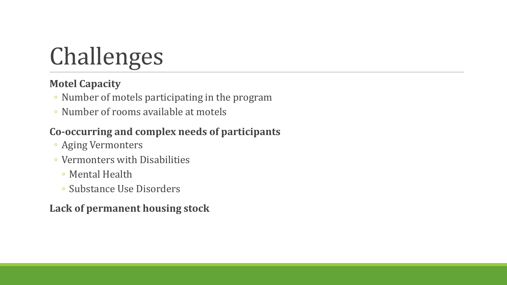## Challenges

#### **Motel Capacity**

- Number of motels participating in the program
- Number of rooms available at motels

#### **Co-occurring and complex needs of participants**

- Aging Vermonters
- Vermonters with Disabilities
	- Mental Health
	- Substance Use Disorders

#### **Lack of permanent housing stock**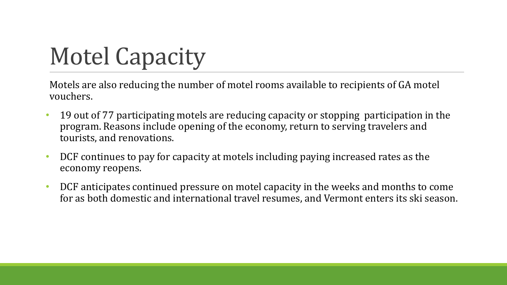### Motel Capacity

Motels are also reducing the number of motel rooms available to recipients of GA motel vouchers.

- 19 out of 77 participating motels are reducing capacity or stopping participation in the program. Reasons include opening of the economy, return to serving travelers and tourists, and renovations.
- DCF continues to pay for capacity at motels including paying increased rates as the economy reopens.
- DCF anticipates continued pressure on motel capacity in the weeks and months to come for as both domestic and international travel resumes, and Vermont enters its ski season.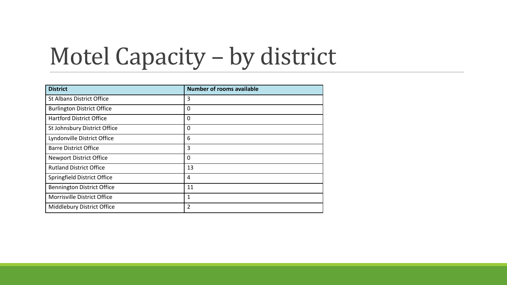### Motel Capacity – by district

| <b>District</b>                   | <b>Number of rooms available</b> |
|-----------------------------------|----------------------------------|
| <b>St Albans District Office</b>  | 3                                |
| <b>Burlington District Office</b> | 0                                |
| <b>Hartford District Office</b>   | 0                                |
| St Johnsbury District Office      | 0                                |
| Lyndonville District Office       | 6                                |
| <b>Barre District Office</b>      | 3                                |
| <b>Newport District Office</b>    | 0                                |
| <b>Rutland District Office</b>    | 13                               |
| Springfield District Office       | 4                                |
| <b>Bennington District Office</b> | 11                               |
| Morrisville District Office       | 1                                |
| Middlebury District Office        | 2                                |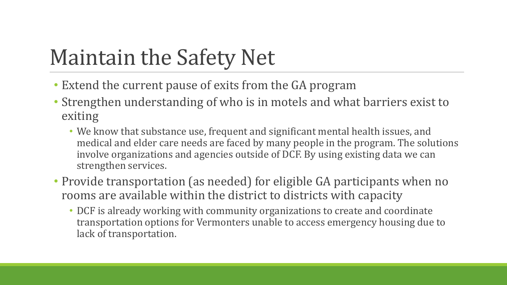### Maintain the Safety Net

- Extend the current pause of exits from the GA program
- Strengthen understanding of who is in motels and what barriers exist to exiting
	- We know that substance use, frequent and significant mental health issues, and medical and elder care needs are faced by many people in the program. The solutions involve organizations and agencies outside of DCF. By using existing data we can strengthen services.
- Provide transportation (as needed) for eligible GA participants when no rooms are available within the district to districts with capacity
	- DCF is already working with community organizations to create and coordinate transportation options for Vermonters unable to access emergency housing due to lack of transportation.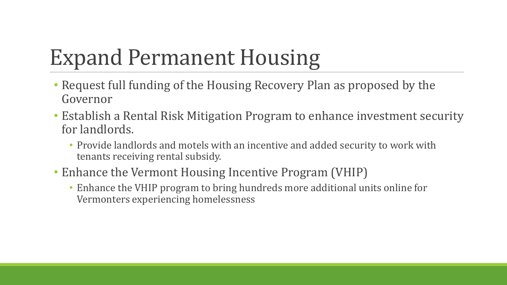### Expand Permanent Housing

- Request full funding of the Housing Recovery Plan as proposed by the Governor
- Establish a Rental Risk Mitigation Program to enhance investment security for landlords.
	- Provide landlords and motels with an incentive and added security to work with tenants receiving rental subsidy.
- Enhance the Vermont Housing Incentive Program (VHIP)
	- Enhance the VHIP program to bring hundreds more additional units online for Vermonters experiencing homelessness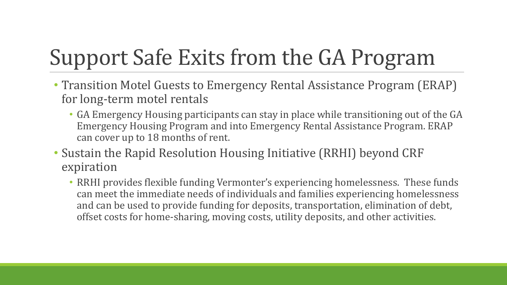### Support Safe Exits from the GA Program

- Transition Motel Guests to Emergency Rental Assistance Program (ERAP) for long-term motel rentals
	- GA Emergency Housing participants can stay in place while transitioning out of the GA Emergency Housing Program and into Emergency Rental Assistance Program. ERAP can cover up to 18 months of rent.
- Sustain the Rapid Resolution Housing Initiative (RRHI) beyond CRF expiration
	- RRHI provides flexible funding Vermonter's experiencing homelessness. These funds can meet the immediate needs of individuals and families experiencing homelessness and can be used to provide funding for deposits, transportation, elimination of debt, offset costs for home-sharing, moving costs, utility deposits, and other activities.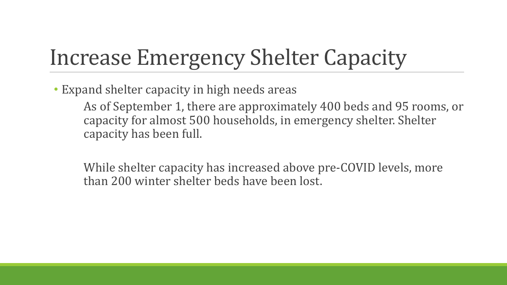### Increase Emergency Shelter Capacity

• Expand shelter capacity in high needs areas

As of September 1, there are approximately 400 beds and 95 rooms, or capacity for almost 500 households, in emergency shelter. Shelter capacity has been full.

While shelter capacity has increased above pre-COVID levels, more than 200 winter shelter beds have been lost.